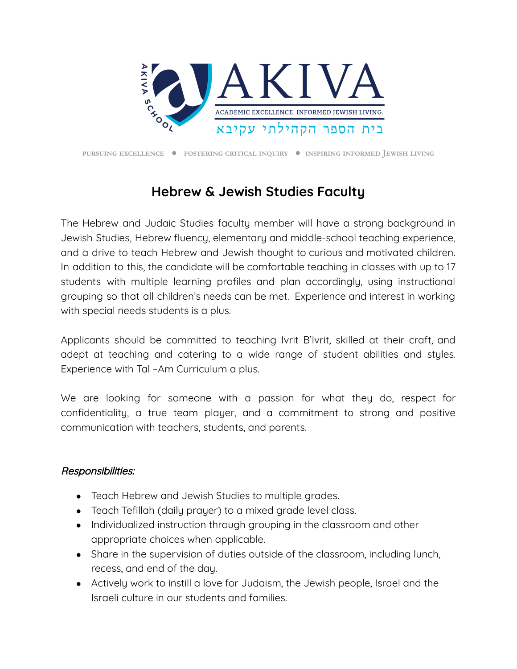

**PURSUING EXCELLENCE** ● **FOSTERING CRITICAL INQUIRY** ● **INSPIRING INFORMED JEWISH LIVING**

## **Hebrew & Jewish Studies Faculty**

The Hebrew and Judaic Studies faculty member will have a strong background in Jewish Studies, Hebrew fluency, elementary and middle-school teaching experience, and a drive to teach Hebrew and Jewish thought to curious and motivated children. In addition to this, the candidate will be comfortable teaching in classes with up to 17 students with multiple learning profiles and plan accordingly, using instructional grouping so that all children's needs can be met. Experience and interest in working with special needs students is a plus.

Applicants should be committed to teaching Ivrit B'Ivrit, skilled at their craft, and adept at teaching and catering to a wide range of student abilities and styles. Experience with Tal –Am Curriculum a plus.

We are looking for someone with a passion for what they do, respect for confidentiality, a true team player, and a commitment to strong and positive communication with teachers, students, and parents.

## Responsibilities:

- Teach Hebrew and Jewish Studies to multiple grades.
- Teach Tefillah (daily prayer) to a mixed grade level class.
- Individualized instruction through grouping in the classroom and other appropriate choices when applicable.
- Share in the supervision of duties outside of the classroom, including lunch, recess, and end of the day.
- Actively work to instill a love for Judaism, the Jewish people, Israel and the Israeli culture in our students and families.